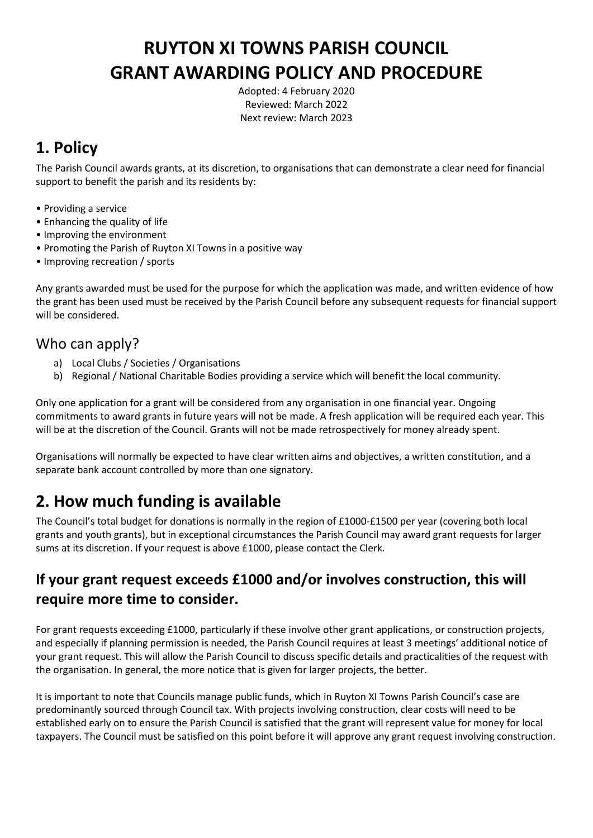# **RUYTON XI TOWNS PARISH COUNCIL GRANT AWARDING POLICY AND PROCEDURE**

Adopted: 4 February 2020 Reviewed: March 2022 Next review: March 2023

## **1. Policy**

The Parish Council awards grants, at its discretion, to organisations that can demonstrate a clear need for financial support to benefit the parish and its residents by:

- Providing a service
- Enhancing the quality of life
- Improving the environment
- Promoting the Parish of Ruyton XI Towns in a positive way
- Improving recreation / sports

Any grants awarded must be used for the purpose for which the application was made, and written evidence of how the grant has been used must be received by the Parish Council before any subsequent requests for financial support will be considered.

#### Who can apply?

- a) Local Clubs / Societies / Organisations
- b) Regional / National Charitable Bodies providing a service which will benefit the local community.

Only one application for a grant will be considered from any organisation in one financial year. Ongoing commitments to award grants in future years will not be made. A fresh application will be required each year. This will be at the discretion of the Council. Grants will not be made retrospectively for money already spent.

Organisations will normally be expected to have clear written aims and objectives, a written constitution, and a separate bank account controlled by more than one signatory.

## **2. How much funding is available**

The Council's total budget for donations is normally in the region of £1000-£1500 per year (covering both local grants and youth grants), but in exceptional circumstances the Parish Council may award grant requests for larger sums at its discretion. If your request is above £1000, please contact the Clerk.

#### **If your grant request exceeds £1000 and/or involves construction, this will require more time to consider.**

For grant requests exceeding £1000, particularly if these involve other grant applications, or construction projects, and especially if planning permission is needed, the Parish Council requires at least 3 meetings' additional notice of your grant request. This will allow the Parish Council to discuss specific details and practicalities of the request with the organisation. In general, the more notice that is given for larger projects, the better.

It is important to note that Councils manage public funds, which in Ruyton XI Towns Parish Council's case are predominantly sourced through Council tax. With projects involving construction, clear costs will need to be established early on to ensure the Parish Council is satisfied that the grant will represent value for money for local taxpayers. The Council must be satisfied on this point before it will approve any grant request involving construction.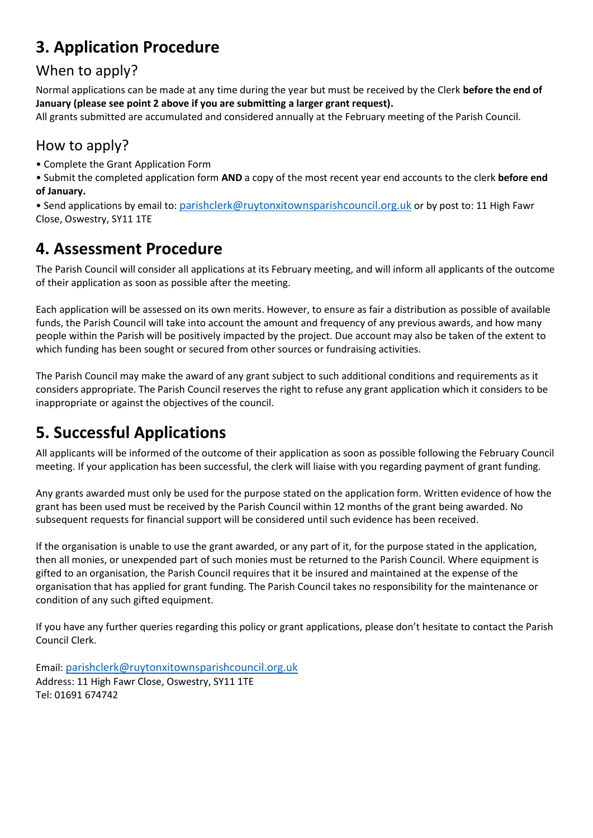# **3. Application Procedure**

### When to apply?

Normal applications can be made at any time during the year but must be received by the Clerk **before the end of January (please see point 2 above if you are submitting a larger grant request).**

All grants submitted are accumulated and considered annually at the February meeting of the Parish Council.

#### How to apply?

• Complete the Grant Application Form

• Submit the completed application form **AND** a copy of the most recent year end accounts to the clerk **before end of January.** 

• Send applications by email to: [parishclerk@ruytonxitownsparishcouncil.org.uk](mailto:parishclerk@ruytonxitownsparishcouncil.org.uk) or by post to: 11 High Fawr Close, Oswestry, SY11 1TE

### **4. Assessment Procedure**

The Parish Council will consider all applications at its February meeting, and will inform all applicants of the outcome of their application as soon as possible after the meeting.

Each application will be assessed on its own merits. However, to ensure as fair a distribution as possible of available funds, the Parish Council will take into account the amount and frequency of any previous awards, and how many people within the Parish will be positively impacted by the project. Due account may also be taken of the extent to which funding has been sought or secured from other sources or fundraising activities.

The Parish Council may make the award of any grant subject to such additional conditions and requirements as it considers appropriate. The Parish Council reserves the right to refuse any grant application which it considers to be inappropriate or against the objectives of the council.

# **5. Successful Applications**

All applicants will be informed of the outcome of their application as soon as possible following the February Council meeting. If your application has been successful, the clerk will liaise with you regarding payment of grant funding.

Any grants awarded must only be used for the purpose stated on the application form. Written evidence of how the grant has been used must be received by the Parish Council within 12 months of the grant being awarded. No subsequent requests for financial support will be considered until such evidence has been received.

If the organisation is unable to use the grant awarded, or any part of it, for the purpose stated in the application, then all monies, or unexpended part of such monies must be returned to the Parish Council. Where equipment is gifted to an organisation, the Parish Council requires that it be insured and maintained at the expense of the organisation that has applied for grant funding. The Parish Council takes no responsibility for the maintenance or condition of any such gifted equipment.

If you have any further queries regarding this policy or grant applications, please don't hesitate to contact the Parish Council Clerk.

Email: [parishclerk@ruytonxitownsparishcouncil.org.uk](mailto:parishclerk@ruytonxitownsparishcouncil.org.uk) Address: 11 High Fawr Close, Oswestry, SY11 1TE Tel: 01691 674742